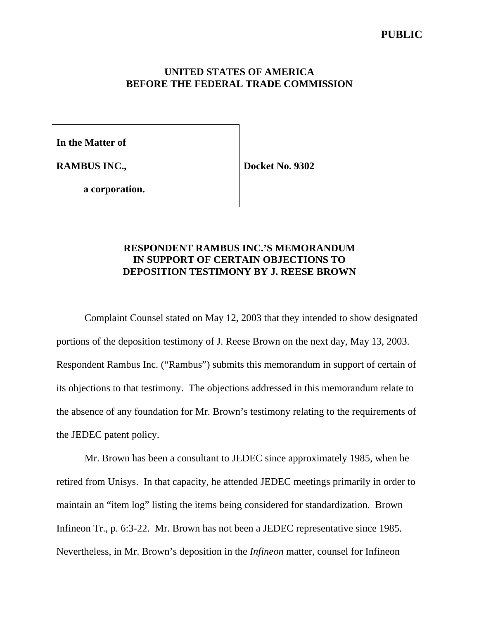### **PUBLIC**

### **UNITED STATES OF AMERICA BEFORE THE FEDERAL TRADE COMMISSION**

**In the Matter of**

**RAMBUS INC.,**

**Docket No. 9302**

**a corporation.**

## **RESPONDENT RAMBUS INC.'S MEMORANDUM IN SUPPORT OF CERTAIN OBJECTIONS TO DEPOSITION TESTIMONY BY J. REESE BROWN**

Complaint Counsel stated on May 12, 2003 that they intended to show designated portions of the deposition testimony of J. Reese Brown on the next day, May 13, 2003. Respondent Rambus Inc. ("Rambus") submits this memorandum in support of certain of its objections to that testimony. The objections addressed in this memorandum relate to the absence of any foundation for Mr. Brown's testimony relating to the requirements of the JEDEC patent policy.

Mr. Brown has been a consultant to JEDEC since approximately 1985, when he retired from Unisys. In that capacity, he attended JEDEC meetings primarily in order to maintain an "item log" listing the items being considered for standardization. Brown Infineon Tr., p. 6:3-22. Mr. Brown has not been a JEDEC representative since 1985. Nevertheless, in Mr. Brown's deposition in the *Infineon* matter, counsel for Infineon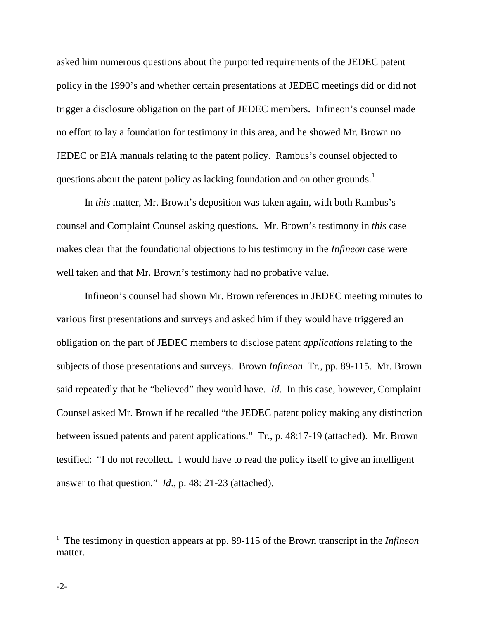asked him numerous questions about the purported requirements of the JEDEC patent policy in the 1990's and whether certain presentations at JEDEC meetings did or did not trigger a disclosure obligation on the part of JEDEC members. Infineon's counsel made no effort to lay a foundation for testimony in this area, and he showed Mr. Brown no JEDEC or EIA manuals relating to the patent policy. Rambus's counsel objected to questions about the patent policy as lacking foundation and on other grounds.<sup>1</sup>

In *this* matter, Mr. Brown's deposition was taken again, with both Rambus's counsel and Complaint Counsel asking questions. Mr. Brown's testimony in *this* case makes clear that the foundational objections to his testimony in the *Infineon* case were well taken and that Mr. Brown's testimony had no probative value.

Infineon's counsel had shown Mr. Brown references in JEDEC meeting minutes to various first presentations and surveys and asked him if they would have triggered an obligation on the part of JEDEC members to disclose patent *applications* relating to the subjects of those presentations and surveys. Brown *Infineon* Tr., pp. 89-115. Mr. Brown said repeatedly that he "believed" they would have. *Id*. In this case, however, Complaint Counsel asked Mr. Brown if he recalled "the JEDEC patent policy making any distinction between issued patents and patent applications." Tr., p. 48:17-19 (attached). Mr. Brown testified: "I do not recollect. I would have to read the policy itself to give an intelligent answer to that question." *Id*., p. 48: 21-23 (attached).

 $\overline{a}$ 

<sup>&</sup>lt;sup>1</sup> The testimony in question appears at pp. 89-115 of the Brown transcript in the *Infineon* matter.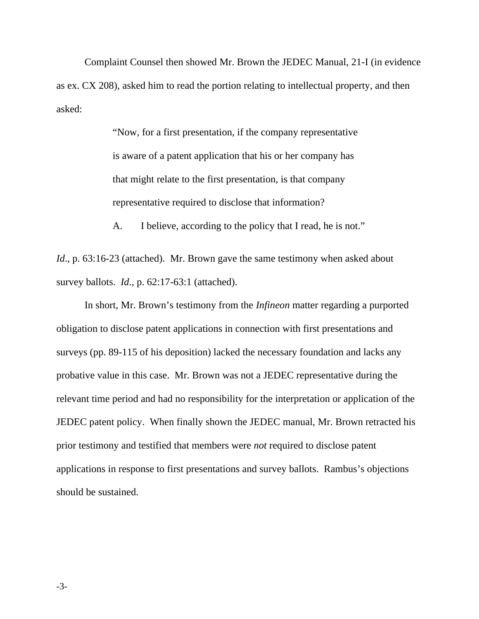Complaint Counsel then showed Mr. Brown the JEDEC Manual, 21-I (in evidence as ex. CX 208), asked him to read the portion relating to intellectual property, and then asked:

> "Now, for a first presentation, if the company representative is aware of a patent application that his or her company has that might relate to the first presentation, is that company representative required to disclose that information?

A. I believe, according to the policy that I read, he is not."

*Id.*, p. 63:16-23 (attached). Mr. Brown gave the same testimony when asked about survey ballots. *Id*., p. 62:17-63:1 (attached).

In short, Mr. Brown's testimony from the *Infineon* matter regarding a purported obligation to disclose patent applications in connection with first presentations and surveys (pp. 89-115 of his deposition) lacked the necessary foundation and lacks any probative value in this case. Mr. Brown was not a JEDEC representative during the relevant time period and had no responsibility for the interpretation or application of the JEDEC patent policy. When finally shown the JEDEC manual, Mr. Brown retracted his prior testimony and testified that members were *not* required to disclose patent applications in response to first presentations and survey ballots. Rambus's objections should be sustained.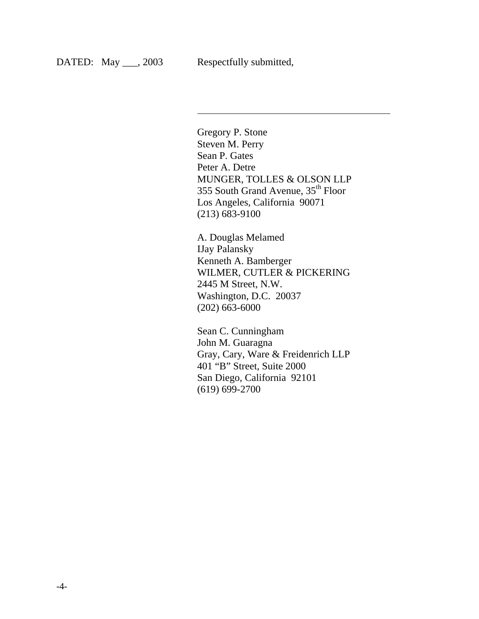$\overline{\phantom{a}}$ 

Gregory P. Stone Steven M. Perry Sean P. Gates Peter A. Detre MUNGER, TOLLES & OLSON LLP 355 South Grand Avenue, 35th Floor Los Angeles, California 90071 (213) 683-9100

A. Douglas Melamed IJay Palansky Kenneth A. Bamberger WILMER, CUTLER & PICKERING 2445 M Street, N.W. Washington, D.C. 20037 (202) 663-6000

Sean C. Cunningham John M. Guaragna Gray, Cary, Ware & Freidenrich LLP 401 "B" Street, Suite 2000 San Diego, California 92101 (619) 699-2700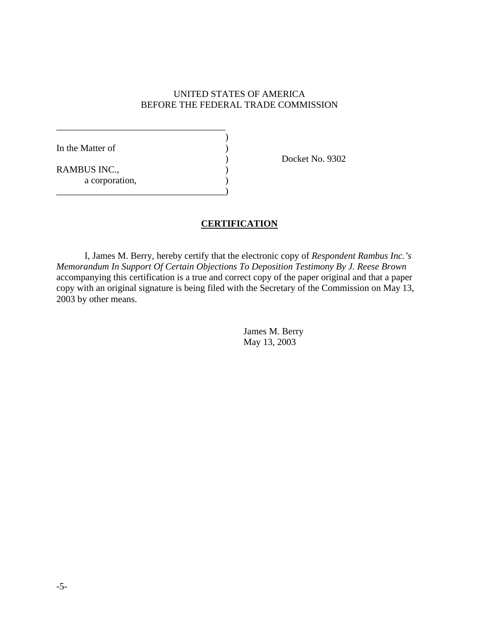#### UNITED STATES OF AMERICA BEFORE THE FEDERAL TRADE COMMISSION

| In the Matter of    |  |
|---------------------|--|
|                     |  |
| <b>RAMBUS INC.,</b> |  |
| a corporation,      |  |
|                     |  |

Docket No. 9302

### **CERTIFICATION**

I, James M. Berry, hereby certify that the electronic copy of *Respondent Rambus Inc.'s Memorandum In Support Of Certain Objections To Deposition Testimony By J. Reese Brown* accompanying this certification is a true and correct copy of the paper original and that a paper copy with an original signature is being filed with the Secretary of the Commission on May 13, 2003 by other means.

> James M. Berry May 13, 2003